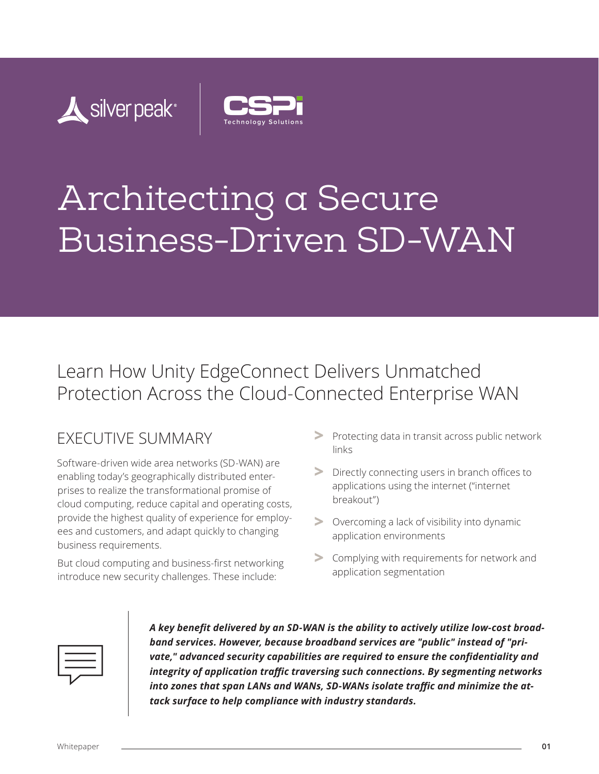



# Architecting a Secure Business-Driven SD-WAN

# Learn How Unity EdgeConnect Delivers Unmatched Protection Across the Cloud-Connected Enterprise WAN

# EXECUTIVE SUMMARY

Software-driven wide area networks (SD-WAN) are enabling today's geographically distributed enterprises to realize the transformational promise of cloud computing, reduce capital and operating costs, provide the highest quality of experience for employees and customers, and adapt quickly to changing business requirements.

But cloud computing and business-first networking introduce new security challenges. These include:

- **>** Protecting data in transit across public network links
- **>** Directly connecting users in branch offices to applications using the internet ("internet breakout")
- **>** Overcoming a lack of visibility into dynamic application environments
- **>** Complying with requirements for network and application segmentation



*A key benefit delivered by an SD-WAN is the ability to actively utilize low-cost broadband services. However, because broadband services are "public" instead of "private," advanced security capabilities are required to ensure the confidentiality and integrity of application traffic traversing such connections. By segmenting networks into zones that span LANs and WANs, SD-WANs isolate traffic and minimize the attack surface to help compliance with industry standards.*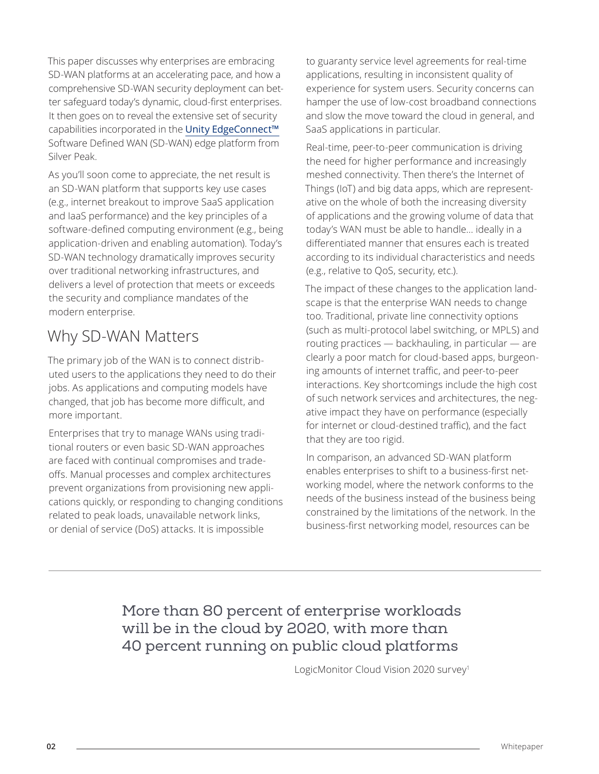This paper discusses why enterprises are embracing SD-WAN platforms at an accelerating pace, and how a comprehensive SD-WAN security deployment can better safeguard today's dynamic, cloud-first enterprises. It then goes on to reveal the extensive set of security capabilities incorporated in the Unity EdgeConnect™ Software Defined WAN (SD-WAN) edge platform from Silver Peak.

As you'll soon come to appreciate, the net result is an SD-WAN platform that supports key use cases (e.g., internet breakout to improve SaaS application and IaaS performance) and the key principles of a software-defined computing environment (e.g., being application-driven and enabling automation). Today's SD-WAN technology dramatically improves security over traditional networking infrastructures, and delivers a level of protection that meets or exceeds the security and compliance mandates of the modern enterprise.

# Why SD-WAN Matters

The primary job of the WAN is to connect distributed users to the applications they need to do their jobs. As applications and computing models have changed, that job has become more difficult, and more important.

Enterprises that try to manage WANs using traditional routers or even basic SD-WAN approaches are faced with continual compromises and tradeoffs. Manual processes and complex architectures prevent organizations from provisioning new applications quickly, or responding to changing conditions related to peak loads, unavailable network links, or denial of service (DoS) attacks. It is impossible

to guaranty service level agreements for real-time applications, resulting in inconsistent quality of experience for system users. Security concerns can hamper the use of low-cost broadband connections and slow the move toward the cloud in general, and SaaS applications in particular.

Real-time, peer-to-peer communication is driving the need for higher performance and increasingly meshed connectivity. Then there's the Internet of Things (IoT) and big data apps, which are representative on the whole of both the increasing diversity of applications and the growing volume of data that today's WAN must be able to handle… ideally in a differentiated manner that ensures each is treated according to its individual characteristics and needs (e.g., relative to QoS, security, etc.).

The impact of these changes to the application landscape is that the enterprise WAN needs to change too. Traditional, private line connectivity options (such as multi-protocol label switching, or MPLS) and routing practices — backhauling, in particular — are clearly a poor match for cloud-based apps, burgeoning amounts of internet traffic, and peer-to-peer interactions. Key shortcomings include the high cost of such network services and architectures, the negative impact they have on performance (especially for internet or cloud-destined traffic), and the fact that they are too rigid.

In comparison, an advanced SD-WAN platform enables enterprises to shift to a business-first networking model, where the network conforms to the needs of the business instead of the business being constrained by the limitations of the network. In the business-first networking model, resources can be

More than 80 percent of enterprise workloads will be in the cloud by 2020, with more than 40 percent running on public cloud platforms

LogicMonitor Cloud Vision 2020 survey<sup>1</sup>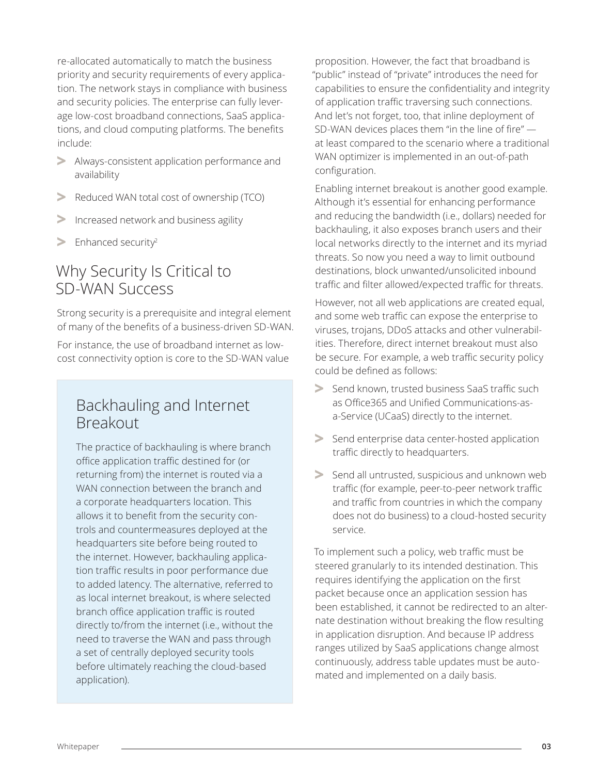re-allocated automatically to match the business priority and security requirements of every application. The network stays in compliance with business and security policies. The enterprise can fully leverage low-cost broadband connections, SaaS applications, and cloud computing platforms. The benefits include:

- **>** Always-consistent application performance and availability
- **>** Reduced WAN total cost of ownership (TCO)
- **>** Increased network and business agility
- **>** Enhanced security2

### Why Security Is Critical to SD-WAN Success

Strong security is a prerequisite and integral element of many of the benefits of a business-driven SD-WAN.

For instance, the use of broadband internet as lowcost connectivity option is core to the SD-WAN value

### Backhauling and Internet Breakout

The practice of backhauling is where branch office application traffic destined for (or returning from) the internet is routed via a WAN connection between the branch and a corporate headquarters location. This allows it to benefit from the security controls and countermeasures deployed at the headquarters site before being routed to the internet. However, backhauling application traffic results in poor performance due to added latency. The alternative, referred to as local internet breakout, is where selected branch office application traffic is routed directly to/from the internet (i.e., without the need to traverse the WAN and pass through a set of centrally deployed security tools before ultimately reaching the cloud-based application).

proposition. However, the fact that broadband is "public" instead of "private" introduces the need for capabilities to ensure the confidentiality and integrity of application traffic traversing such connections. And let's not forget, too, that inline deployment of SD-WAN devices places them "in the line of fire" at least compared to the scenario where a traditional WAN optimizer is implemented in an out-of-path configuration.

Enabling internet breakout is another good example. Although it's essential for enhancing performance and reducing the bandwidth (i.e., dollars) needed for backhauling, it also exposes branch users and their local networks directly to the internet and its myriad threats. So now you need a way to limit outbound destinations, block unwanted/unsolicited inbound traffic and filter allowed/expected traffic for threats.

However, not all web applications are created equal, and some web traffic can expose the enterprise to viruses, trojans, DDoS attacks and other vulnerabilities. Therefore, direct internet breakout must also be secure. For example, a web traffic security policy could be defined as follows:

- **>** Send known, trusted business SaaS traffic such as Office365 and Unified Communications-asa-Service (UCaaS) directly to the internet.
- **>** Send enterprise data center-hosted application traffic directly to headquarters.
- **>** Send all untrusted, suspicious and unknown web traffic (for example, peer-to-peer network traffic and traffic from countries in which the company does not do business) to a cloud-hosted security service.

To implement such a policy, web traffic must be steered granularly to its intended destination. This requires identifying the application on the first packet because once an application session has been established, it cannot be redirected to an alternate destination without breaking the flow resulting in application disruption. And because IP address ranges utilized by SaaS applications change almost continuously, address table updates must be automated and implemented on a daily basis.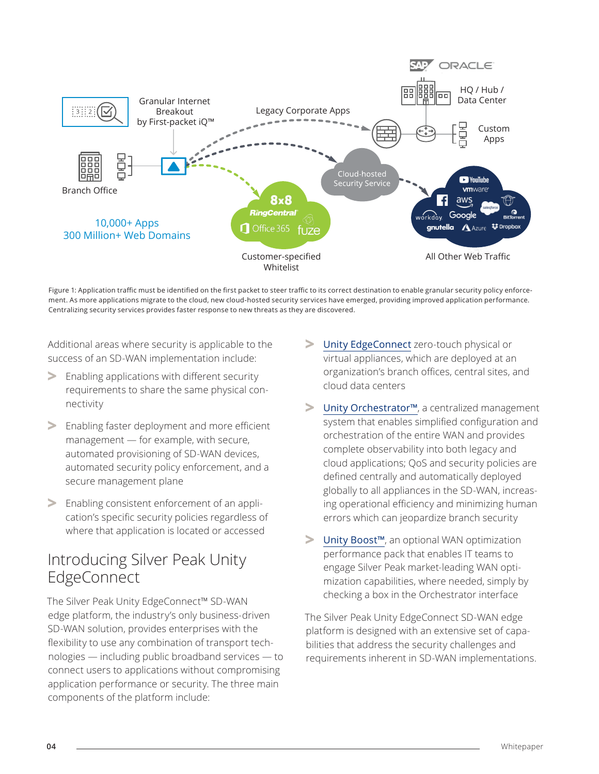

Figure 1: Application traffic must be identified on the first packet to steer traffic to its correct destination to enable granular security policy enforcement. As more applications migrate to the cloud, new cloud-hosted security services have emerged, providing improved application performance. Centralizing security services provides faster response to new threats as they are discovered.

Additional areas where security is applicable to the success of an SD-WAN implementation include:

- **>** Enabling applications with different security requirements to share the same physical connectivity
- **>** Enabling faster deployment and more efficient management — for example, with secure, automated provisioning of SD-WAN devices, automated security policy enforcement, and a secure management plane
- **>** Enabling consistent enforcement of an application's specific security policies regardless of where that application is located or accessed

### Introducing Silver Peak Unity EdgeConnect

The Silver Peak Unity EdgeConnect™ SD-WAN edge platform, the industry's only business-driven SD-WAN solution, provides enterprises with the flexibility to use any combination of transport technologies — including public broadband services — to connect users to applications without compromising application performance or security. The three main components of the platform include:

- **>** Unity EdgeConnect zero-touch physical or virtual appliances, which are deployed at an organization's branch offices, central sites, and cloud data centers
- **>** Unity Orchestrator™, a centralized management system that enables simplified configuration and orchestration of the entire WAN and provides complete observability into both legacy and cloud applications; QoS and security policies are defined centrally and automatically deployed globally to all appliances in the SD-WAN, increasing operational efficiency and minimizing human errors which can jeopardize branch security
- **>** Unity Boost™, an optional WAN optimization performance pack that enables IT teams to engage Silver Peak market-leading WAN optimization capabilities, where needed, simply by checking a box in the Orchestrator interface

The Silver Peak Unity EdgeConnect SD-WAN edge platform is designed with an extensive set of capabilities that address the security challenges and requirements inherent in SD-WAN implementations.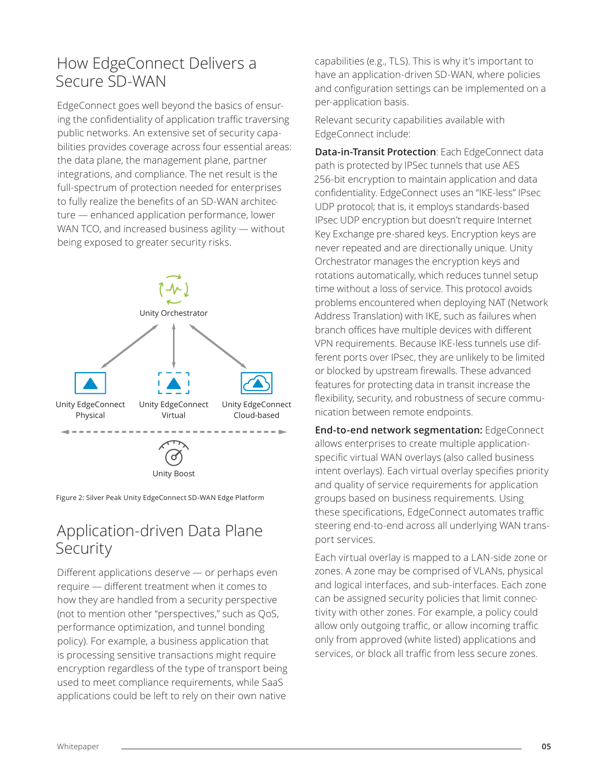### How EdgeConnect Delivers a Secure SD-WAN

EdgeConnect goes well beyond the basics of ensuring the confidentiality of application traffic traversing public networks. An extensive set of security capabilities provides coverage across four essential areas: the data plane, the management plane, partner integrations, and compliance. The net result is the full-spectrum of protection needed for enterprises to fully realize the benefits of an SD-WAN architecture — enhanced application performance, lower WAN TCO, and increased business agility — without being exposed to greater security risks.



Figure 2: Silver Peak Unity EdgeConnect SD-WAN Edge Platform

### Application-driven Data Plane **Security**

Different applications deserve — or perhaps even require — different treatment when it comes to how they are handled from a security perspective (not to mention other "perspectives," such as QoS, performance optimization, and tunnel bonding policy). For example, a business application that is processing sensitive transactions might require encryption regardless of the type of transport being used to meet compliance requirements, while SaaS applications could be left to rely on their own native

capabilities (e.g., TLS). This is why it's important to have an application-driven SD-WAN, where policies and configuration settings can be implemented on a per-application basis.

Relevant security capabilities available with EdgeConnect include:

**Data-in-Transit Protection**: Each EdgeConnect data path is protected by IPSec tunnels that use AES 256-bit encryption to maintain application and data confidentiality. EdgeConnect uses an "IKE-less" IPsec UDP protocol; that is, it employs standards-based IPsec UDP encryption but doesn't require Internet Key Exchange pre-shared keys. Encryption keys are never repeated and are directionally unique. Unity Orchestrator manages the encryption keys and rotations automatically, which reduces tunnel setup time without a loss of service. This protocol avoids problems encountered when deploying NAT (Network Address Translation) with IKE, such as failures when branch offices have multiple devices with different VPN requirements. Because IKE-less tunnels use different ports over IPsec, they are unlikely to be limited or blocked by upstream firewalls. These advanced features for protecting data in transit increase the flexibility, security, and robustness of secure communication between remote endpoints.

**End-to-end network segmentation:** EdgeConnect allows enterprises to create multiple applicationspecific virtual WAN overlays (also called business intent overlays). Each virtual overlay specifies priority and quality of service requirements for application groups based on business requirements. Using these specifications, EdgeConnect automates traffic steering end-to-end across all underlying WAN transport services.

Each virtual overlay is mapped to a LAN-side zone or zones. A zone may be comprised of VLANs, physical and logical interfaces, and sub-interfaces. Each zone can be assigned security policies that limit connectivity with other zones. For example, a policy could allow only outgoing traffic, or allow incoming traffic only from approved (white listed) applications and services, or block all traffic from less secure zones.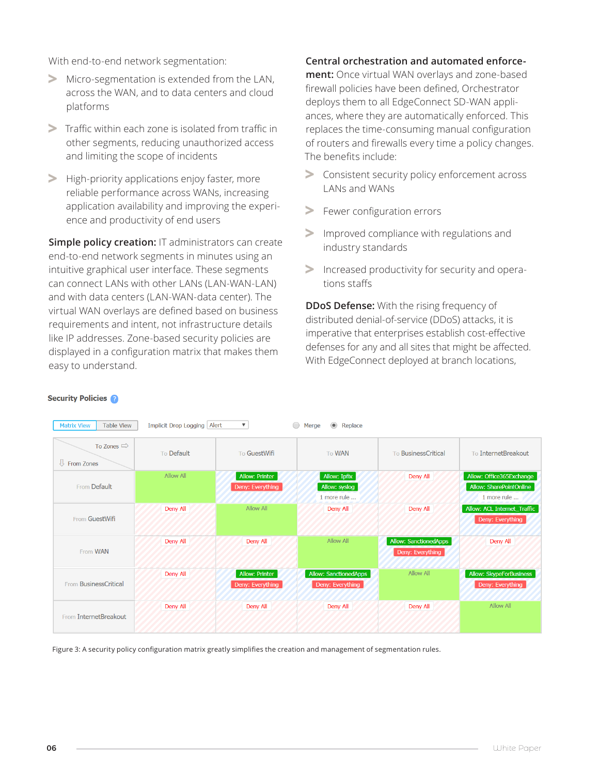With end-to-end network segmentation:

- **>** Micro-segmentation is extended from the LAN, across the WAN, and to data centers and cloud platforms
- **>** Traffic within each zone is isolated from traffic in other segments, reducing unauthorized access and limiting the scope of incidents
- **>** High-priority applications enjoy faster, more reliable performance across WANs, increasing application availability and improving the experience and productivity of end users

**Simple policy creation:** IT administrators can create end-to-end network segments in minutes using an intuitive graphical user interface. These segments can connect LANs with other LANs (LAN-WAN-LAN) and with data centers (LAN-WAN-data center). The virtual WAN overlays are defined based on business requirements and intent, not infrastructure details like IP addresses. Zone-based security policies are displayed in a configuration matrix that makes them easy to understand.

Matrix View Table View Implicit Drop Logging Alert

#### **Central orchestration and automated enforce-**

**ment:** Once virtual WAN overlays and zone-based firewall policies have been defined, Orchestrator deploys them to all EdgeConnect SD-WAN appliances, where they are automatically enforced. This replaces the time-consuming manual configuration of routers and firewalls every time a policy changes. The benefits include:

- **>** Consistent security policy enforcement across LANs and WANs
- **>** Fewer configuration errors
- **>** Improved compliance with regulations and industry standards
- **>** Increased productivity for security and operations staffs

**DDoS Defense:** With the rising frequency of distributed denial-of-service (DDoS) attacks, it is imperative that enterprises establish cost-effective defenses for any and all sites that might be affected. With EdgeConnect deployed at branch locations,

| To Zones $\Rightarrow$<br>From Zones | To Default | To GuestWifi                       | <b>To WAN</b>                                    | To BusinessCritical                              | To InternetBreakout                                                |
|--------------------------------------|------------|------------------------------------|--------------------------------------------------|--------------------------------------------------|--------------------------------------------------------------------|
| From Default                         | Allow All  | Allow: Printer<br>Deny: Everything | Allow: Ipfix<br>Allow: syslog<br>1 more rule     | Deny All                                         | Allow: Office365Exchange<br>Allow: SharePointOnline<br>1 more rule |
| From GuestWifi                       | Deny All   | Allow All                          | Deny All                                         | Deny All                                         | Allow: ACL Internet_Traffic<br>Deny: Everything                    |
| From WAN                             | Deny All   | Deny All                           | Allow All                                        | <b>Allow: SanctionedApps</b><br>Deny: Everything | Deny All                                                           |
| <b>BusinessCritical</b><br>From      | Deny All   | Allow: Printer<br>Deny: Everything | <b>Allow: SanctionedApps</b><br>Deny: Everything | Allow All                                        | Allow: SkypeForBusiness<br>Deny: Everything                        |
| From InternetBreakout                | Deny All   | Deny All                           | Deny All                                         | Deny All                                         | Allow All                                                          |

Merge C Replace

#### **Security Policies**

Figure 3: A security policy configuration matrix greatly simplifies the creation and management of segmentation rules.

 $\overline{\mathbf{v}}$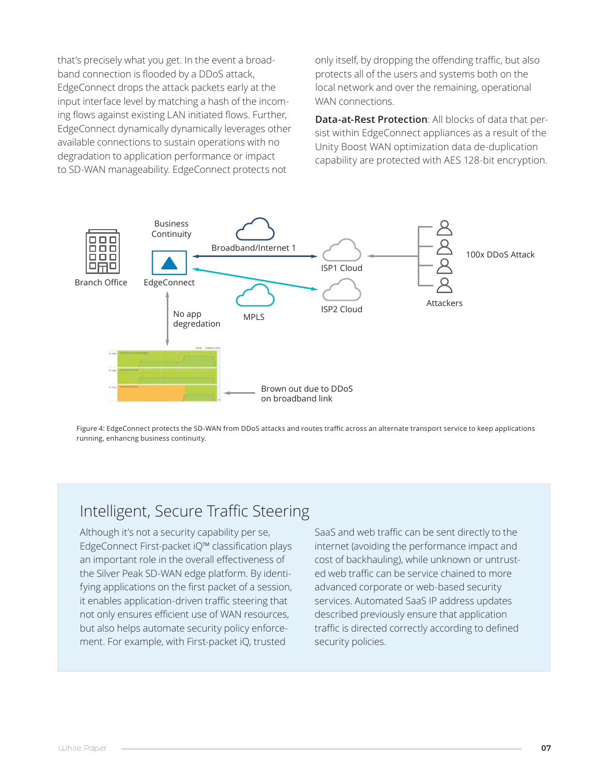that's precisely what you get. In the event a broadband connection is flooded by a DDoS attack, EdgeConnect drops the attack packets early at the input interface level by matching a hash of the incoming flows against existing LAN initiated flows. Further, EdgeConnect dynamically dynamically leverages other available connections to sustain operations with no degradation to application performance or impact to SD-WAN manageability. EdgeConnect protects not

only itself, by dropping the offending traffic, but also protects all of the users and systems both on the local network and over the remaining, operational WAN connections.

**Data-at-Rest Protection**: All blocks of data that persist within EdgeConnect appliances as a result of the Unity Boost WAN optimization data de-duplication capability are protected with AES 128-bit encryption.



Figure 4: EdgeConnect protects the SD-WAN from DDoS attacks and routes traffic across an alternate transport service to keep applications running, enhancng business continuity.

### Intelligent, Secure Traffic Steering

Although it's not a security capability per se, EdgeConnect First-packet iQ™ classification plays an important role in the overall effectiveness of the Silver Peak SD-WAN edge platform. By identifying applications on the first packet of a session, it enables application-driven traffic steering that not only ensures efficient use of WAN resources, but also helps automate security policy enforcement. For example, with First-packet iQ, trusted

SaaS and web traffic can be sent directly to the internet (avoiding the performance impact and cost of backhauling), while unknown or untrusted web traffic can be service chained to more advanced corporate or web-based security services. Automated SaaS IP address updates described previously ensure that application traffic is directed correctly according to defined security policies.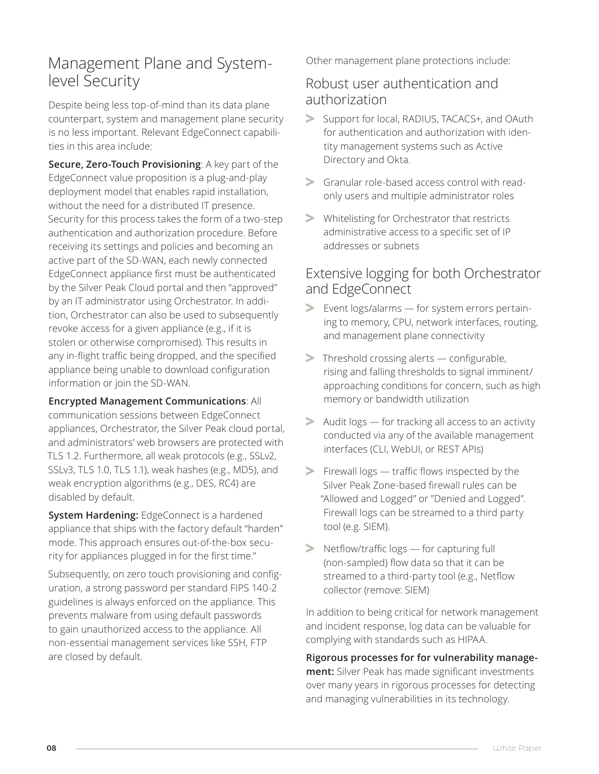### Management Plane and Systemlevel Security

Despite being less top-of-mind than its data plane counterpart, system and management plane security is no less important. Relevant EdgeConnect capabilities in this area include:

**Secure, Zero-Touch Provisioning**: A key part of the EdgeConnect value proposition is a plug-and-play deployment model that enables rapid installation, without the need for a distributed IT presence. Security for this process takes the form of a two-step authentication and authorization procedure. Before receiving its settings and policies and becoming an active part of the SD-WAN, each newly connected EdgeConnect appliance first must be authenticated by the Silver Peak Cloud portal and then "approved" by an IT administrator using Orchestrator. In addition, Orchestrator can also be used to subsequently revoke access for a given appliance (e.g., if it is stolen or otherwise compromised). This results in any in-flight traffic being dropped, and the specified appliance being unable to download configuration information or join the SD-WAN.

**Encrypted Management Communications**: All communication sessions between EdgeConnect appliances, Orchestrator, the Silver Peak cloud portal, and administrators' web browsers are protected with TLS 1.2. Furthermore, all weak protocols (e.g., SSLv2, SSLv3, TLS 1.0, TLS 1.1), weak hashes (e.g., MD5), and weak encryption algorithms (e.g., DES, RC4) are disabled by default.

**System Hardening:** EdgeConnect is a hardened appliance that ships with the factory default "harden" mode. This approach ensures out-of-the-box security for appliances plugged in for the first time."

Subsequently, on zero touch provisioning and configuration, a strong password per standard FIPS 140-2 guidelines is always enforced on the appliance. This prevents malware from using default passwords to gain unauthorized access to the appliance. All non-essential management services like SSH, FTP are closed by default.

Other management plane protections include:

### Robust user authentication and authorization

- **>** Support for local, RADIUS, TACACS+, and OAuth for authentication and authorization with identity management systems such as Active Directory and Okta.
- **>** Granular role-based access control with readonly users and multiple administrator roles
- **>** Whitelisting for Orchestrator that restricts administrative access to a specific set of IP addresses or subnets

### Extensive logging for both Orchestrator and EdgeConnect

- **>** Event logs/alarms for system errors pertaining to memory, CPU, network interfaces, routing, and management plane connectivity
- **>** Threshold crossing alerts configurable, rising and falling thresholds to signal imminent/ approaching conditions for concern, such as high memory or bandwidth utilization
- **>** Audit logs for tracking all access to an activity conducted via any of the available management interfaces (CLI, WebUI, or REST APIs)
- **>** Firewall logs traffic flows inspected by the Silver Peak Zone-based firewall rules can be "Allowed and Logged" or "Denied and Logged". Firewall logs can be streamed to a third party tool (e.g. SIEM).
- **>** Netflow/traffic logs for capturing full (non-sampled) flow data so that it can be streamed to a third-party tool (e.g., Netflow collector (remove: SIEM)

In addition to being critical for network management and incident response, log data can be valuable for complying with standards such as HIPAA.

**Rigorous processes for for vulnerability management:** Silver Peak has made significant investments over many years in rigorous processes for detecting and managing vulnerabilities in its technology.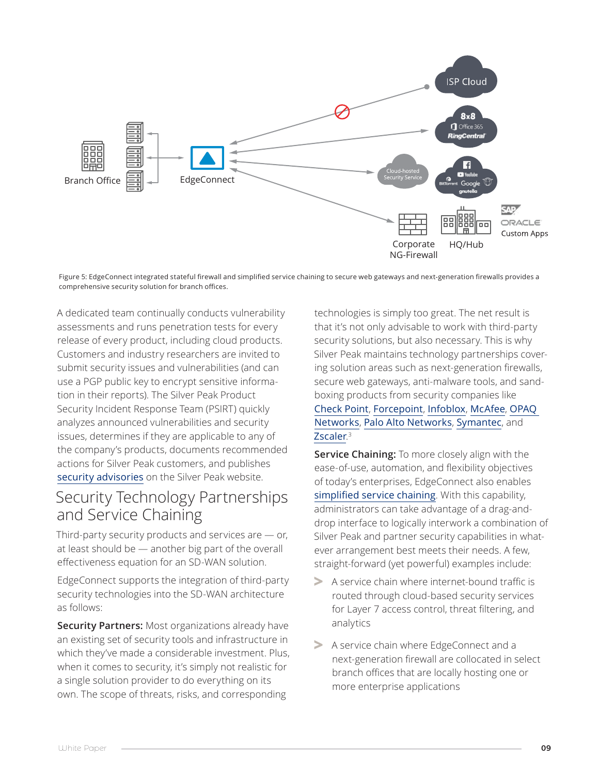

Figure 5: EdgeConnect integrated stateful firewall and simplified service chaining to secure web gateways and next-generation firewalls provides a comprehensive security solution for branch offices.

A dedicated team continually conducts vulnerability assessments and runs penetration tests for every release of every product, including cloud products. Customers and industry researchers are invited to submit security issues and vulnerabilities (and can use a PGP public key to encrypt sensitive information in their reports). The Silver Peak Product Security Incident Response Team (PSIRT) quickly analyzes announced vulnerabilities and security issues, determines if they are applicable to any of the company's products, documents recommended actions for Silver Peak customers, and publishes security advisories on the Silver Peak website.

### Security Technology Partnerships and Service Chaining

Third-party security products and services are — or, at least should be — another big part of the overall effectiveness equation for an SD-WAN solution.

EdgeConnect supports the integration of third-party security technologies into the SD-WAN architecture as follows:

**Security Partners:** Most organizations already have an existing set of security tools and infrastructure in which they've made a considerable investment. Plus, when it comes to security, it's simply not realistic for a single solution provider to do everything on its own. The scope of threats, risks, and corresponding

technologies is simply too great. The net result is that it's not only advisable to work with third-party security solutions, but also necessary. This is why Silver Peak maintains technology partnerships covering solution areas such as next-generation firewalls, secure web gateways, anti-malware tools, and sandboxing products from security companies like

#### Check Point, Forcepoint, Infoblox, McAfee, OPAQ Networks, Palo Alto Networks, Symantec, and Zscaler. 3

**Service Chaining:** To more closely align with the ease-of-use, automation, and flexibility objectives of today's enterprises, EdgeConnect also enables simplified service chaining. With this capability, administrators can take advantage of a drag-anddrop interface to logically interwork a combination of Silver Peak and partner security capabilities in whatever arrangement best meets their needs. A few, straight-forward (yet powerful) examples include:

- **>** A service chain where internet-bound traffic is routed through cloud-based security services for Layer 7 access control, threat filtering, and analytics
- **>** A service chain where EdgeConnect and a next-generation firewall are collocated in select branch offices that are locally hosting one or more enterprise applications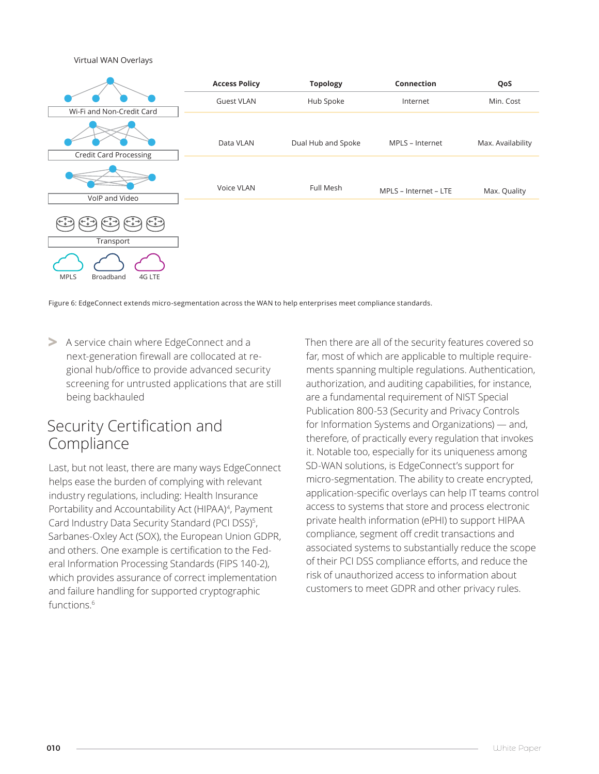Virtual WAN Overlays



Figure 6: EdgeConnect extends micro-segmentation across the WAN to help enterprises meet compliance standards.

**>** A service chain where EdgeConnect and a next-generation firewall are collocated at regional hub/office to provide advanced security screening for untrusted applications that are still being backhauled

### Security Certification and Compliance

Last, but not least, there are many ways EdgeConnect helps ease the burden of complying with relevant industry regulations, including: Health Insurance Portability and Accountability Act (HIPAA)<sup>4</sup>, Payment Card Industry Data Security Standard (PCI DSS)<sup>5</sup>, Sarbanes-Oxley Act (SOX), the European Union GDPR, and others. One example is certification to the Federal Information Processing Standards (FIPS 140-2), which provides assurance of correct implementation and failure handling for supported cryptographic functions.<sup>6</sup>

Then there are all of the security features covered so far, most of which are applicable to multiple requirements spanning multiple regulations. Authentication, authorization, and auditing capabilities, for instance, are a fundamental requirement of NIST Special Publication 800-53 (Security and Privacy Controls for Information Systems and Organizations) — and, therefore, of practically every regulation that invokes it. Notable too, especially for its uniqueness among SD-WAN solutions, is EdgeConnect's support for micro-segmentation. The ability to create encrypted, application-specific overlays can help IT teams control access to systems that store and process electronic private health information (ePHI) to support HIPAA compliance, segment off credit transactions and associated systems to substantially reduce the scope of their PCI DSS compliance efforts, and reduce the risk of unauthorized access to information about customers to meet GDPR and other privacy rules.